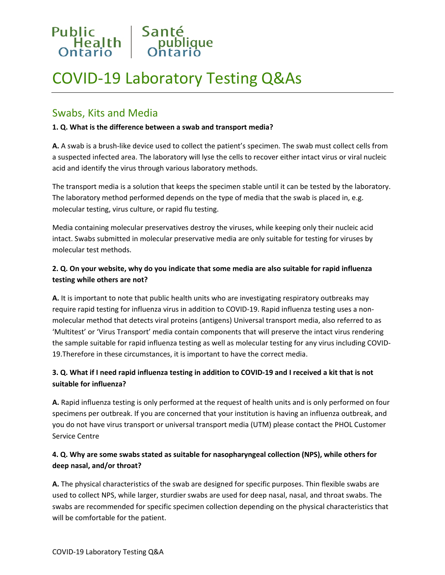

# COVID-19 Laboratory Testing Q&As

# Swabs, Kits and Media

#### **1. Q. What is the difference between a swab and transport media?**

**A.** A swab is a brush-like device used to collect the patient's specimen. The swab must collect cells from a suspected infected area. The laboratory will lyse the cells to recover either intact virus or viral nucleic acid and identify the virus through various laboratory methods.

The transport media is a solution that keeps the specimen stable until it can be tested by the laboratory. The laboratory method performed depends on the type of media that the swab is placed in, e.g. molecular testing, virus culture, or rapid flu testing.

Media containing molecular preservatives destroy the viruses, while keeping only their nucleic acid intact. Swabs submitted in molecular preservative media are only suitable for testing for viruses by molecular test methods.

# **2. Q. On your website, why do you indicate that some media are also suitable for rapid influenza testing while others are not?**

**A.** It is important to note that public health units who are investigating respiratory outbreaks may require rapid testing for influenza virus in addition to COVID-19. Rapid influenza testing uses a nonmolecular method that detects viral proteins (antigens) Universal transport media, also referred to as 'Multitest' or 'Virus Transport' media contain components that will preserve the intact virus rendering the sample suitable for rapid influenza testing as well as molecular testing for any virus including COVID-19.Therefore in these circumstances, it is important to have the correct media.

# **3. Q. What if I need rapid influenza testing in addition to COVID-19 and I received a kit that is not suitable for influenza?**

**A.** Rapid influenza testing is only performed at the request of health units and is only performed on four specimens per outbreak. If you are concerned that your institution is having an influenza outbreak, and you do not have virus transport or universal transport media (UTM) please contact the PHOL Customer Service Centre

# **4. Q. Why are some swabs stated as suitable for nasopharyngeal collection (NPS), while others for deep nasal, and/or throat?**

**A.** The physical characteristics of the swab are designed for specific purposes. Thin flexible swabs are used to collect NPS, while larger, sturdier swabs are used for deep nasal, nasal, and throat swabs. The swabs are recommended for specific specimen collection depending on the physical characteristics that will be comfortable for the patient.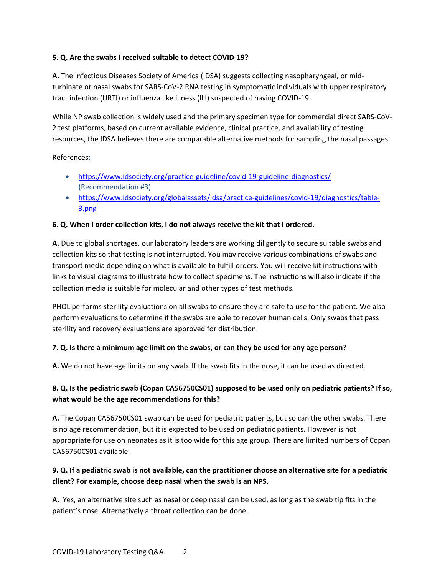#### **5. Q. Are the swabs I received suitable to detect COVID-19?**

**A.** The Infectious Diseases Society of America (IDSA) suggests collecting nasopharyngeal, or midturbinate or nasal swabs for SARS-CoV-2 RNA testing in symptomatic individuals with upper respiratory tract infection (URTI) or influenza like illness (ILI) suspected of having COVID-19.

While NP swab collection is widely used and the primary specimen type for commercial direct SARS-CoV-2 test platforms, based on current available evidence, clinical practice, and availability of testing resources, the IDSA believes there are comparable alternative methods for sampling the nasal passages.

#### References:

- <https://www.idsociety.org/practice-guideline/covid-19-guideline-diagnostics/> (Recommendation #3)
- [https://www.idsociety.org/globalassets/idsa/practice-guidelines/covid-19/diagnostics/table-](https://www.idsociety.org/globalassets/idsa/practice-guidelines/covid-19/diagnostics/table-3.png)[3.png](https://www.idsociety.org/globalassets/idsa/practice-guidelines/covid-19/diagnostics/table-3.png)

#### **6. Q. When I order collection kits, I do not always receive the kit that I ordered.**

**A.** Due to global shortages, our laboratory leaders are working diligently to secure suitable swabs and collection kits so that testing is not interrupted. You may receive various combinations of swabs and transport media depending on what is available to fulfill orders. You will receive kit instructions with links to visual diagrams to illustrate how to collect specimens. The instructions will also indicate if the collection media is suitable for molecular and other types of test methods.

PHOL performs sterility evaluations on all swabs to ensure they are safe to use for the patient. We also perform evaluations to determine if the swabs are able to recover human cells. Only swabs that pass sterility and recovery evaluations are approved for distribution.

#### **7. Q. Is there a minimum age limit on the swabs, or can they be used for any age person?**

**A.** We do not have age limits on any swab. If the swab fits in the nose, it can be used as directed.

## **8. Q. Is the pediatric swab (Copan CA56750CS01) supposed to be used only on pediatric patients? If so, what would be the age recommendations for this?**

**A.** The Copan CA56750CS01 swab can be used for pediatric patients, but so can the other swabs. There is no age recommendation, but it is expected to be used on pediatric patients. However is not appropriate for use on neonates as it is too wide for this age group. There are limited numbers of Copan CA56750CS01 available.

## **9. Q. If a pediatric swab is not available, can the practitioner choose an alternative site for a pediatric client? For example, choose deep nasal when the swab is an NPS.**

**A.** Yes, an alternative site such as nasal or deep nasal can be used, as long as the swab tip fits in the patient's nose. Alternatively a throat collection can be done.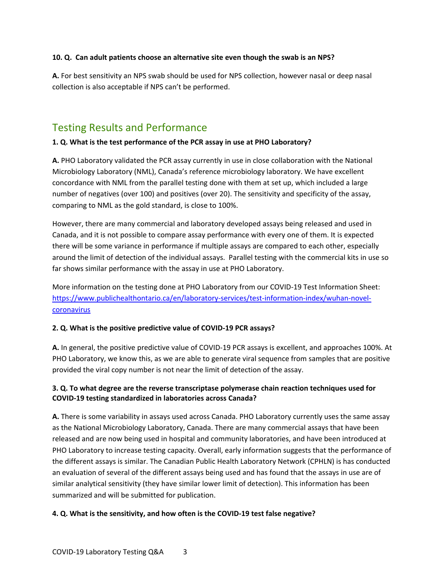#### **10. Q. Can adult patients choose an alternative site even though the swab is an NPS?**

**A.** For best sensitivity an NPS swab should be used for NPS collection, however nasal or deep nasal collection is also acceptable if NPS can't be performed.

# Testing Results and Performance

#### **1. Q. What is the test performance of the PCR assay in use at PHO Laboratory?**

**A.** PHO Laboratory validated the PCR assay currently in use in close collaboration with the National Microbiology Laboratory (NML), Canada's reference microbiology laboratory. We have excellent concordance with NML from the parallel testing done with them at set up, which included a large number of negatives (over 100) and positives (over 20). The sensitivity and specificity of the assay, comparing to NML as the gold standard, is close to 100%.

However, there are many commercial and laboratory developed assays being released and used in Canada, and it is not possible to compare assay performance with every one of them. It is expected there will be some variance in performance if multiple assays are compared to each other, especially around the limit of detection of the individual assays. Parallel testing with the commercial kits in use so far shows similar performance with the assay in use at PHO Laboratory.

More information on the testing done at PHO Laboratory from our COVID-19 Test Information Sheet: [https://www.publichealthontario.ca/en/laboratory-services/test-information-index/wuhan-novel](https://www.publichealthontario.ca/en/laboratory-services/test-information-index/wuhan-novel-coronavirus)[coronavirus](https://www.publichealthontario.ca/en/laboratory-services/test-information-index/wuhan-novel-coronavirus)

#### **2. Q. What is the positive predictive value of COVID-19 PCR assays?**

**A.** In general, the positive predictive value of COVID-19 PCR assays is excellent, and approaches 100%. At PHO Laboratory, we know this, as we are able to generate viral sequence from samples that are positive provided the viral copy number is not near the limit of detection of the assay.

#### **3. Q. To what degree are the reverse transcriptase polymerase chain reaction techniques used for COVID-19 testing standardized in laboratories across Canada?**

**A.** There is some variability in assays used across Canada. PHO Laboratory currently uses the same assay as the National Microbiology Laboratory, Canada. There are many commercial assays that have been released and are now being used in hospital and community laboratories, and have been introduced at PHO Laboratory to increase testing capacity. Overall, early information suggests that the performance of the different assays is similar. The Canadian Public Health Laboratory Network (CPHLN) is has conducted an evaluation of several of the different assays being used and has found that the assays in use are of similar analytical sensitivity (they have similar lower limit of detection). This information has been summarized and will be submitted for publication.

#### **4. Q. What is the sensitivity, and how often is the COVID-19 test false negative?**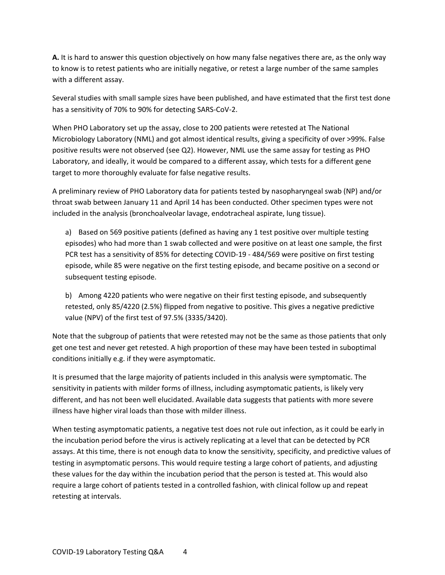**A.** It is hard to answer this question objectively on how many false negatives there are, as the only way to know is to retest patients who are initially negative, or retest a large number of the same samples with a different assay.

Several studies with small sample sizes have been published, and have estimated that the first test done has a sensitivity of 70% to 90% for detecting SARS-CoV-2.

When PHO Laboratory set up the assay, close to 200 patients were retested at The National Microbiology Laboratory (NML) and got almost identical results, giving a specificity of over >99%. False positive results were not observed (see Q2). However, NML use the same assay for testing as PHO Laboratory, and ideally, it would be compared to a different assay, which tests for a different gene target to more thoroughly evaluate for false negative results.

A preliminary review of PHO Laboratory data for patients tested by nasopharyngeal swab (NP) and/or throat swab between January 11 and April 14 has been conducted. Other specimen types were not included in the analysis (bronchoalveolar lavage, endotracheal aspirate, lung tissue).

a) Based on 569 positive patients (defined as having any 1 test positive over multiple testing episodes) who had more than 1 swab collected and were positive on at least one sample, the first PCR test has a sensitivity of 85% for detecting COVID-19 - 484/569 were positive on first testing episode, while 85 were negative on the first testing episode, and became positive on a second or subsequent testing episode.

b) Among 4220 patients who were negative on their first testing episode, and subsequently retested, only 85/4220 (2.5%) flipped from negative to positive. This gives a negative predictive value (NPV) of the first test of 97.5% (3335/3420).

Note that the subgroup of patients that were retested may not be the same as those patients that only get one test and never get retested. A high proportion of these may have been tested in suboptimal conditions initially e.g. if they were asymptomatic.

It is presumed that the large majority of patients included in this analysis were symptomatic. The sensitivity in patients with milder forms of illness, including asymptomatic patients, is likely very different, and has not been well elucidated. Available data suggests that patients with more severe illness have higher viral loads than those with milder illness.

When testing asymptomatic patients, a negative test does not rule out infection, as it could be early in the incubation period before the virus is actively replicating at a level that can be detected by PCR assays. At this time, there is not enough data to know the sensitivity, specificity, and predictive values of testing in asymptomatic persons. This would require testing a large cohort of patients, and adjusting these values for the day within the incubation period that the person is tested at. This would also require a large cohort of patients tested in a controlled fashion, with clinical follow up and repeat retesting at intervals.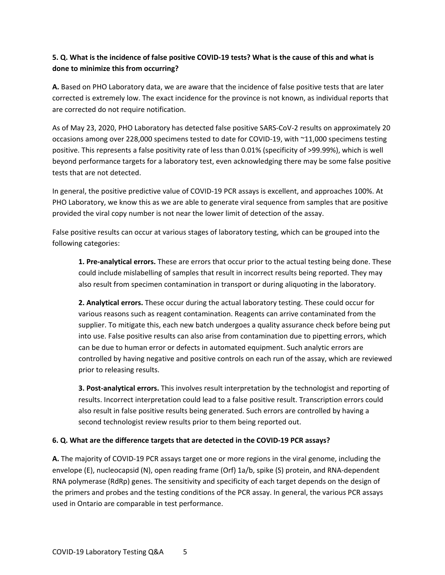# **5. Q. What is the incidence of false positive COVID-19 tests? What is the cause of this and what is done to minimize this from occurring?**

**A.** Based on PHO Laboratory data, we are aware that the incidence of false positive tests that are later corrected is extremely low. The exact incidence for the province is not known, as individual reports that are corrected do not require notification.

As of May 23, 2020, PHO Laboratory has detected false positive SARS-CoV-2 results on approximately 20 occasions among over 228,000 specimens tested to date for COVID-19, with ~11,000 specimens testing positive. This represents a false positivity rate of less than 0.01% (specificity of >99.99%), which is well beyond performance targets for a laboratory test, even acknowledging there may be some false positive tests that are not detected.

In general, the positive predictive value of COVID-19 PCR assays is excellent, and approaches 100%. At PHO Laboratory, we know this as we are able to generate viral sequence from samples that are positive provided the viral copy number is not near the lower limit of detection of the assay.

False positive results can occur at various stages of laboratory testing, which can be grouped into the following categories:

**1. Pre-analytical errors.** These are errors that occur prior to the actual testing being done. These could include mislabelling of samples that result in incorrect results being reported. They may also result from specimen contamination in transport or during aliquoting in the laboratory.

**2. Analytical errors.** These occur during the actual laboratory testing. These could occur for various reasons such as reagent contamination. Reagents can arrive contaminated from the supplier. To mitigate this, each new batch undergoes a quality assurance check before being put into use. False positive results can also arise from contamination due to pipetting errors, which can be due to human error or defects in automated equipment. Such analytic errors are controlled by having negative and positive controls on each run of the assay, which are reviewed prior to releasing results.

**3. Post-analytical errors.** This involves result interpretation by the technologist and reporting of results. Incorrect interpretation could lead to a false positive result. Transcription errors could also result in false positive results being generated. Such errors are controlled by having a second technologist review results prior to them being reported out.

#### **6. Q. What are the difference targets that are detected in the COVID-19 PCR assays?**

**A.** The majority of COVID-19 PCR assays target one or more regions in the viral genome, including the envelope (E), nucleocapsid (N), open reading frame (Orf) 1a/b, spike (S) protein, and RNA-dependent RNA polymerase (RdRp) genes. The sensitivity and specificity of each target depends on the design of the primers and probes and the testing conditions of the PCR assay. In general, the various PCR assays used in Ontario are comparable in test performance.